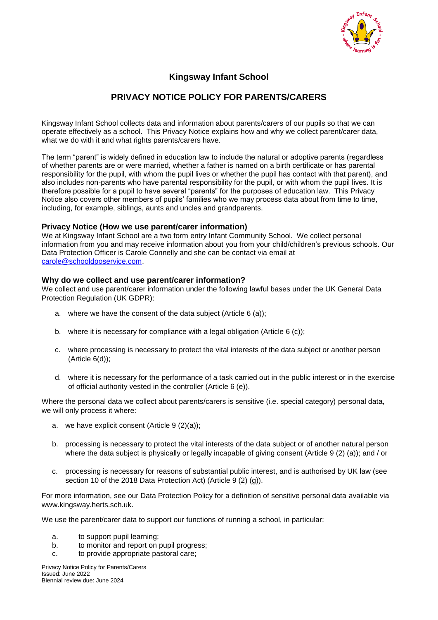

# **Kingsway Infant School**

# **PRIVACY NOTICE POLICY FOR PARENTS/CARERS**

Kingsway Infant School collects data and information about parents/carers of our pupils so that we can operate effectively as a school. This Privacy Notice explains how and why we collect parent/carer data, what we do with it and what rights parents/carers have.

The term "parent" is widely defined in education law to include the natural or adoptive parents (regardless of whether parents are or were married, whether a father is named on a birth certificate or has parental responsibility for the pupil, with whom the pupil lives or whether the pupil has contact with that parent), and also includes non-parents who have parental responsibility for the pupil, or with whom the pupil lives. It is therefore possible for a pupil to have several "parents" for the purposes of education law. This Privacy Notice also covers other members of pupils' families who we may process data about from time to time, including, for example, siblings, aunts and uncles and grandparents.

#### **Privacy Notice (How we use parent/carer information)**

We at Kingsway Infant School are a two form entry Infant Community School. We collect personal information from you and may receive information about you from your child/children's previous schools. Our Data Protection Officer is Carole Connelly and she can be contact via email at [carole@schooldposervice.com.](mailto:carole@schooldposervice.com)

#### **Why do we collect and use parent/carer information?**

We collect and use parent/carer information under the following lawful bases under the UK General Data Protection Regulation (UK GDPR):

- a. where we have the consent of the data subject (Article 6 (a));
- b. where it is necessary for compliance with a legal obligation (Article 6 (c));
- c. where processing is necessary to protect the vital interests of the data subject or another person (Article 6(d));
- d. where it is necessary for the performance of a task carried out in the public interest or in the exercise of official authority vested in the controller (Article 6 (e)).

Where the personal data we collect about parents/carers is sensitive (i.e. special category) personal data, we will only process it where:

- a. we have explicit consent (Article 9 (2)(a));
- b. processing is necessary to protect the vital interests of the data subject or of another natural person where the data subject is physically or legally incapable of giving consent (Article 9 (2) (a)); and / or
- c. processing is necessary for reasons of substantial public interest, and is authorised by UK law (see section 10 of the 2018 Data Protection Act) (Article 9 (2) (g)).

For more information, see our Data Protection Policy for a definition of sensitive personal data available via www.kingsway.herts.sch.uk.

We use the parent/carer data to support our functions of running a school, in particular:

- a. to support pupil learning;
- b. to monitor and report on pupil progress;
- c. to provide appropriate pastoral care;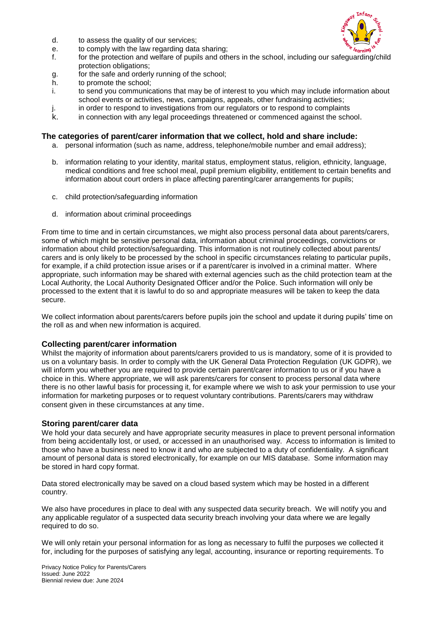

- d. to assess the quality of our services;
- e. to comply with the law regarding data sharing;
- f. for the protection and welfare of pupils and others in the school, including our safeguarding/child protection obligations;
- g. for the safe and orderly running of the school;
- h. to promote the school;
- i. to send you communications that may be of interest to you which may include information about school events or activities, news, campaigns, appeals, other fundraising activities;
- j. in order to respond to investigations from our regulators or to respond to complaints
- k. in connection with any legal proceedings threatened or commenced against the school.

### **The categories of parent/carer information that we collect, hold and share include:**

- a. personal information (such as name, address, telephone/mobile number and email address);
- b. information relating to your identity, marital status, employment status, religion, ethnicity, language, medical conditions and free school meal, pupil premium eligibility, entitlement to certain benefits and information about court orders in place affecting parenting/carer arrangements for pupils;
- c. child protection/safeguarding information
- d. information about criminal proceedings

From time to time and in certain circumstances, we might also process personal data about parents/carers, some of which might be sensitive personal data, information about criminal proceedings, convictions or information about child protection/safeguarding. This information is not routinely collected about parents/ carers and is only likely to be processed by the school in specific circumstances relating to particular pupils, for example, if a child protection issue arises or if a parent/carer is involved in a criminal matter. Where appropriate, such information may be shared with external agencies such as the child protection team at the Local Authority, the Local Authority Designated Officer and/or the Police. Such information will only be processed to the extent that it is lawful to do so and appropriate measures will be taken to keep the data secure.

We collect information about parents/carers before pupils join the school and update it during pupils' time on the roll as and when new information is acquired.

# **Collecting parent/carer information**

Whilst the majority of information about parents/carers provided to us is mandatory, some of it is provided to us on a voluntary basis. In order to comply with the UK General Data Protection Regulation (UK GDPR), we will inform you whether you are required to provide certain parent/carer information to us or if you have a choice in this. Where appropriate, we will ask parents/carers for consent to process personal data where there is no other lawful basis for processing it, for example where we wish to ask your permission to use your information for marketing purposes or to request voluntary contributions. Parents/carers may withdraw consent given in these circumstances at any time.

#### **Storing parent/carer data**

We hold your data securely and have appropriate security measures in place to prevent personal information from being accidentally lost, or used, or accessed in an unauthorised way. Access to information is limited to those who have a business need to know it and who are subjected to a duty of confidentiality. A significant amount of personal data is stored electronically, for example on our MIS database. Some information may be stored in hard copy format.

Data stored electronically may be saved on a cloud based system which may be hosted in a different country.

We also have procedures in place to deal with any suspected data security breach. We will notify you and any applicable regulator of a suspected data security breach involving your data where we are legally required to do so.

We will only retain your personal information for as long as necessary to fulfil the purposes we collected it for, including for the purposes of satisfying any legal, accounting, insurance or reporting requirements. To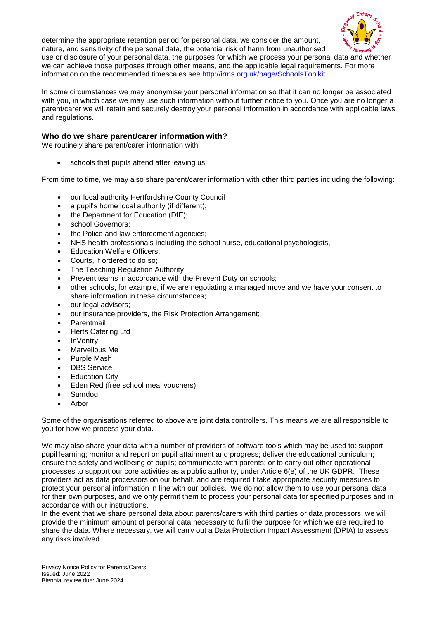

determine the appropriate retention period for personal data, we consider the amount, nature, and sensitivity of the personal data, the potential risk of harm from unauthorised use or disclosure of your personal data, the purposes for which we process your personal data and whether we can achieve those purposes through other means, and the applicable legal requirements. For more information on the recommended timescales see<http://irms.org.uk/page/SchoolsToolkit>

In some circumstances we may anonymise your personal information so that it can no longer be associated with you, in which case we may use such information without further notice to you. Once you are no longer a parent/carer we will retain and securely destroy your personal information in accordance with applicable laws and regulations.

### **Who do we share parent/carer information with?**

We routinely share parent/carer information with:

schools that pupils attend after leaving us;

From time to time, we may also share parent/carer information with other third parties including the following:

- our local authority Hertfordshire County Council
- a pupil's home local authority (if different);
- the Department for Education (DfE);
- school Governors;
- the Police and law enforcement agencies;
- NHS health professionals including the school nurse, educational psychologists,
- Education Welfare Officers;
- Courts, if ordered to do so;
- The Teaching Regulation Authority
- Prevent teams in accordance with the Prevent Duty on schools;
- other schools, for example, if we are negotiating a managed move and we have your consent to share information in these circumstances;
- our legal advisors;
- our insurance providers, the Risk Protection Arrangement;
- Parentmail
- Herts Catering Ltd
- InVentry
- Marvellous Me
- Purple Mash
- DBS Service
- Education City
- Eden Red (free school meal vouchers)
- Sumdog
- Arbor

Some of the organisations referred to above are joint data controllers. This means we are all responsible to you for how we process your data.

We may also share your data with a number of providers of software tools which may be used to: support pupil learning; monitor and report on pupil attainment and progress; deliver the educational curriculum; ensure the safety and wellbeing of pupils; communicate with parents; or to carry out other operational processes to support our core activities as a public authority, under Article 6(e) of the UK GDPR. These providers act as data processors on our behalf, and are required t take appropriate security measures to protect your personal information in line with our policies. We do not allow them to use your personal data for their own purposes, and we only permit them to process your personal data for specified purposes and in accordance with our instructions.

In the event that we share personal data about parents/carers with third parties or data processors, we will provide the minimum amount of personal data necessary to fulfil the purpose for which we are required to share the data. Where necessary, we will carry out a Data Protection Impact Assessment (DPIA) to assess any risks involved.